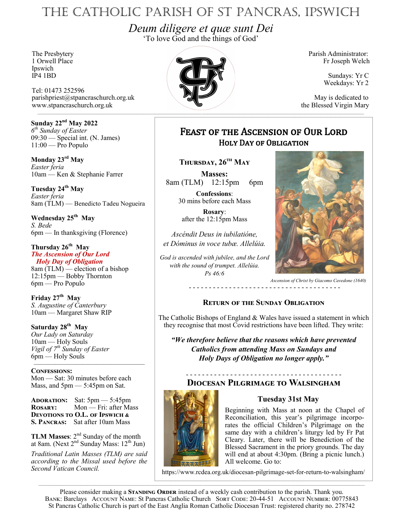# The Catholic Parish of St Pancras, Ipswich

*Deum diligere et quæ sunt Dei* 'To love God and the things of God'

Ipswich<br>IP4 1BD

Tel: 01473 252596 parishpriest@stpancraschurch.org.uk May is dedicated to www.stpancraschurch.org.uk the Blessed Virgin Mary

**Sunday 22nd May 2022** *6 th Sunday of Easter* 09:30 — Special int. (N. James)  $11:00$  — Pro Populo

**Monday 23rd May** *Easter feria* 10am — Ken & Stephanie Farrer

**Tuesday 24th May** *Easter feria* 8am (TLM) — Benedicto Tadeu Nogueira

**Wednesday 25th May** *S. Bede* 6pm — In thanksgiving (Florence)

#### **Thursday 26th May** *The Ascension of Our Lord*

 *Holy Day of Obligation* 8am (TLM) — election of a bishop 12:15pm — Bobby Thornton 6pm — Pro Populo

**Friday 27th May** *S. Augustine of Canterbury* 10am — Margaret Shaw RIP

**Saturday 28th May** *Our Lady on Saturday* 10am — Holy Souls *Vigil of 7th Sunday of Easter* 6pm — Holy Souls

———————————————— **Confessions:** Mon — Sat: 30 minutes before each Mass, and  $5 \text{pm} - 5:45 \text{pm}$  on Sat.

**Adoration:** Sat: 5pm — 5:45pm **ROSARY:** Mon — Fri: after Mass **Devotions to O.L. of Ipswich & S. Pancras:** Sat after 10am Mass

**TLM Masses:**  $2^{nd}$  Sunday of the month at 8am. (Next  $2<sup>nd</sup>$  Sunday Mass:  $12<sup>th</sup>$  Jun)

*Traditional Latin Masses (TLM) are said according to the Missal used before the Second Vatican Council.*



Fr Joseph Welch

Sundays: Yr C Weekdays: Yr 2

# Feast of the Ascension of Our Lord Holy Day of Obligation

**Thursday, 26th May**

**Masses:** 8am (TLM) 12:15pm 6pm

**Confessions**: 30 mins before each Mass

**Rosary**: after the 12:15pm Mass

*Ascéndit Deus in iubilatióne, et Dóminus in voce tubæ. Allelúia.* 

*God is ascended with jubilee, and the Lord with the sound of trumpet. Allelúia. Ps 46:6*



*Ascension of Christ by Giacomo Cavedone (1640)*

#### **Return of the Sunday Obligation**

- - - - - - - - - - - - - - - - - - - - - - - - - - - - - - - - - - - - - -

The Catholic Bishops of England & Wales have issued a statement in which they recognise that most Covid restrictions have been lifted. They write:

*"We therefore believe that the reasons which have prevented Catholics from attending Mass on Sundays and Holy Days of Obligation no longer apply."*

## **Diocesan Pilgrimage to Walsingham**

### **Tuesday 31st May**

- - - - - - - - - - - - - - - - - - - - - - - - - - - - - - - - - - - - - - -



Beginning with Mass at noon at the Chapel of Reconciliation, this year's pilgrimage incorporates the official Children's Pilgrimage on the same day with a children's liturgy led by Fr Pat Cleary. Later, there will be Benediction of the Blessed Sacrament in the priory grounds. The day will end at about 4:30pm. (Bring a picnic lunch.) All welcome. Go to:

https://www.rcdea.org.uk/diocesan-pilgrimage-set-for-return-to-walsingham/

Please consider making a **STANDING ORDER** instead of a weekly cash contribution to the parish. Thank you. BANK: Barclays ACCOUNT NAME: St Pancras Catholic Church SORT CODE: 20-44-51 ACCOUNT NUMBER: 00775843 St Pancras Catholic Church is part of the East Anglia Roman Catholic Diocesan Trust: registered charity no. 278742